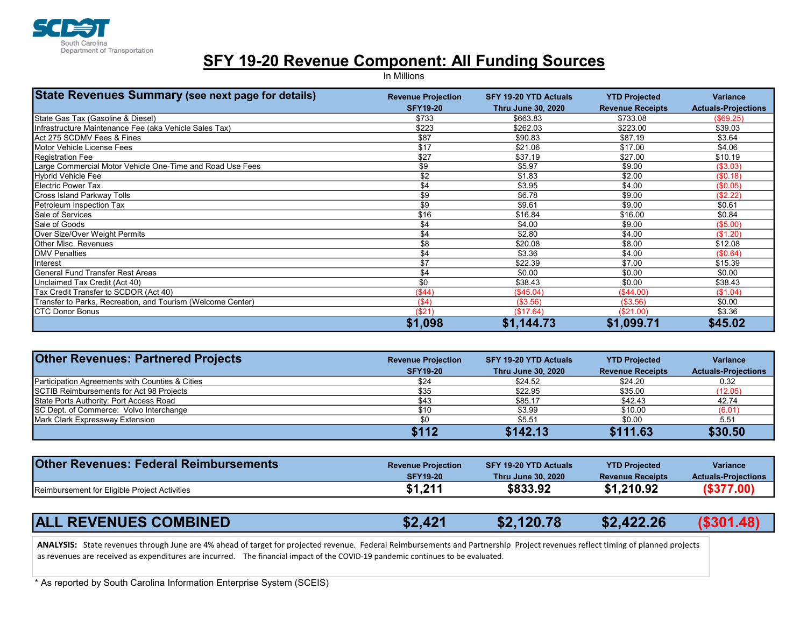

## SFY 19-20 Revenue Component: All Funding Sources

In Millions

| State Revenues Summary (see next page for details)          | <b>Revenue Projection</b> | SFY 19-20 YTD Actuals     | <b>YTD Projected</b>    | <b>Variance</b>            |
|-------------------------------------------------------------|---------------------------|---------------------------|-------------------------|----------------------------|
|                                                             | <b>SFY19-20</b>           | <b>Thru June 30, 2020</b> | <b>Revenue Receipts</b> | <b>Actuals-Projections</b> |
| State Gas Tax (Gasoline & Diesel)                           | \$733                     | \$663.83                  | \$733.08                | (\$69.25)                  |
| Infrastructure Maintenance Fee (aka Vehicle Sales Tax)      | \$223                     | \$262.03                  | \$223.00                | \$39.03                    |
| Act 275 SCDMV Fees & Fines                                  | \$87                      | \$90.83                   | \$87.19                 | \$3.64                     |
| Motor Vehicle License Fees                                  | \$17                      | \$21.06                   | \$17.00                 | \$4.06                     |
| Registration Fee                                            | \$27                      | \$37.19                   | \$27.00                 | \$10.19                    |
| Large Commercial Motor Vehicle One-Time and Road Use Fees   | \$9                       | \$5.97                    | \$9.00                  | (\$3.03)                   |
| <b>Hybrid Vehicle Fee</b>                                   | \$2                       | \$1.83                    | \$2.00                  | (S0.18)                    |
| Electric Power Tax                                          | \$4                       | \$3.95                    | \$4.00                  | (S0.05)                    |
| <b>Cross Island Parkway Tolls</b>                           | \$9                       | \$6.78                    | \$9.00                  | (\$2.22)                   |
| Petroleum Inspection Tax                                    | \$9                       | \$9.61                    | \$9.00                  | \$0.61                     |
| Sale of Services                                            | \$16                      | \$16.84                   | \$16.00                 | \$0.84                     |
| Sale of Goods                                               | \$4                       | \$4.00                    | \$9.00                  | (\$5.00)                   |
| Over Size/Over Weight Permits                               | \$4                       | \$2.80                    | \$4.00                  | (\$1.20)                   |
| <b>I</b> Other Misc. Revenues                               | \$8                       | \$20.08                   | \$8.00                  | \$12.08                    |
| <b>IDMV Penalties</b>                                       | \$4                       | \$3.36                    | \$4.00                  | (\$0.64)                   |
| Interest                                                    | \$7                       | \$22.39                   | \$7.00                  | \$15.39                    |
| <b>I</b> General Fund Transfer Rest Areas                   | \$4                       | \$0.00                    | \$0.00                  | \$0.00                     |
| Unclaimed Tax Credit (Act 40)                               | \$0                       | \$38.43                   | \$0.00                  | \$38.43                    |
| Tax Credit Transfer to SCDOR (Act 40)                       | (\$44)                    | (\$45.04)                 | (\$44.00)               | (\$1.04)                   |
| Transfer to Parks, Recreation, and Tourism (Welcome Center) | ( \$4)                    | (\$3.56)                  | (\$3.56)                | \$0.00                     |
| CTC Donor Bonus                                             | (\$21)                    | (\$17.64)                 | (\$21.00)               | \$3.36                     |
|                                                             | \$1,098                   | \$1,144.73                | \$1,099.71              | \$45.02                    |

| <b>Other Revenues: Partnered Projects</b>       | <b>Revenue Projection</b> | SFY 19-20 YTD Actuals     | <b>YTD Projected</b>    | <b>Variance</b>            |
|-------------------------------------------------|---------------------------|---------------------------|-------------------------|----------------------------|
|                                                 | <b>SFY19-20</b>           | <b>Thru June 30, 2020</b> | <b>Revenue Receipts</b> | <b>Actuals-Projections</b> |
| Participation Agreements with Counties & Cities | \$24                      | \$24.52                   | \$24.20                 | 0.32                       |
| SCTIB Reimbursements for Act 98 Projects        | \$35                      | \$22.95                   | \$35.00                 | (12.05)                    |
| State Ports Authority: Port Access Road         | \$43                      | \$85.17                   | \$42.43                 | 42.74                      |
| SC Dept. of Commerce: Volvo Interchange         | \$10                      | \$3.99                    | \$10.00                 | (6.01)                     |
| Mark Clark Expressway Extension                 | \$0                       | \$5.51                    | \$0.00                  | 5.51                       |
|                                                 | \$112                     | \$142.13                  | \$111.63                | \$30.50                    |

| Other Revenues: Federal Reimbursements        | <b>Revenue Projection</b> | SFY 19-20 YTD Actuals     | <b>YTD Projected</b>    | <b>Variance</b>            |
|-----------------------------------------------|---------------------------|---------------------------|-------------------------|----------------------------|
|                                               | <b>SFY19-20</b>           | <b>Thru June 30, 2020</b> | <b>Revenue Receipts</b> | <b>Actuals-Projections</b> |
| Reimbursement for Eligible Project Activities | \$1,211                   | \$833.92                  | \$1,210.92              |                            |

| <b>ALL REVENUES COMBINED</b><br>\$2,421 | \$2,120.78 | \$2,422.26 | ( \$301.48) |
|-----------------------------------------|------------|------------|-------------|
|-----------------------------------------|------------|------------|-------------|

ANALYSIS: State revenues through June are 4% ahead of target for projected revenue. Federal Reimbursements and Partnership Project revenues reflect timing of planned projects as revenues are received as expenditures are incurred. The financial impact of the COVID-19 pandemic continues to be evaluated.

\* As reported by South Carolina Information Enterprise System (SCEIS)